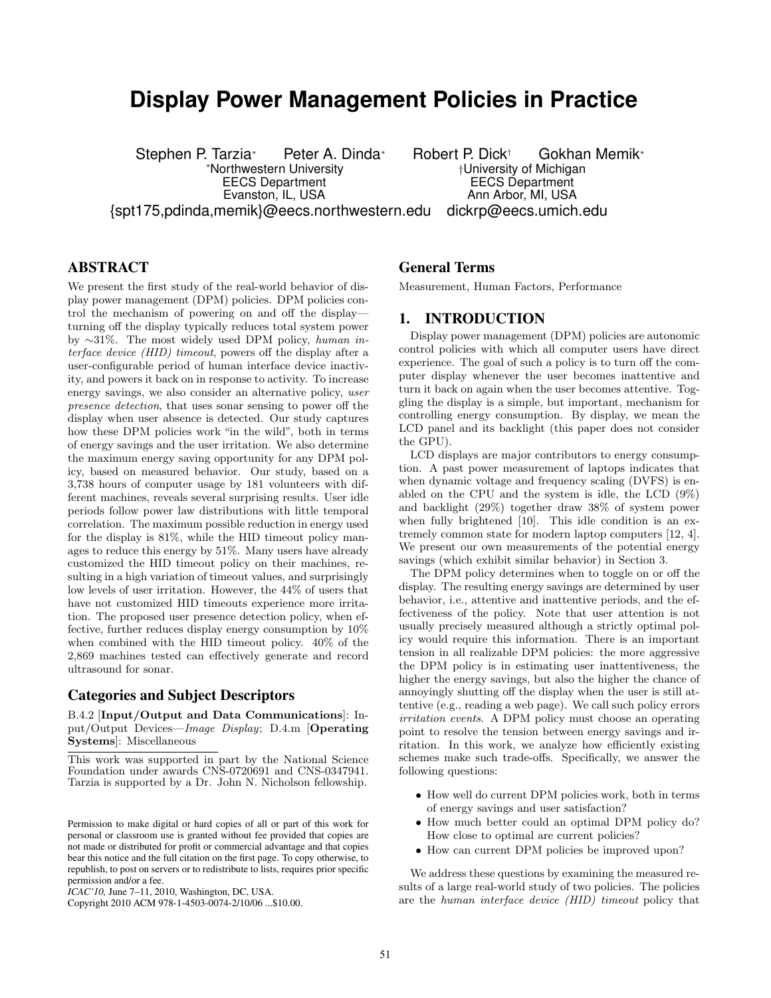# **Display Power Management Policies in Practice**

Stephen P. Tarzia∗ Peter A. Dinda∗ Robert P. Dick<sup>†</sup> Gokhan Memik∗<br>khiversity of Michigan\* 1. Northwestern University\* <sup>∗</sup>Northwestern University †University of Michigan EECS Department<br>Evanston, IL, USA {spt175,pdinda,memik}@eecs.northwestern.edu dickrp@eecs.umich.edu

Ann Arbor, MI, USA

# ABSTRACT

We present the first study of the real-world behavior of display power management (DPM) policies. DPM policies control the mechanism of powering on and off the display turning off the display typically reduces total system power by ∼31%. The most widely used DPM policy, human interface device (HID) timeout, powers off the display after a user-configurable period of human interface device inactivity, and powers it back on in response to activity. To increase energy savings, we also consider an alternative policy, user presence detection, that uses sonar sensing to power off the display when user absence is detected. Our study captures how these DPM policies work "in the wild", both in terms of energy savings and the user irritation. We also determine the maximum energy saving opportunity for any DPM policy, based on measured behavior. Our study, based on a 3,738 hours of computer usage by 181 volunteers with different machines, reveals several surprising results. User idle periods follow power law distributions with little temporal correlation. The maximum possible reduction in energy used for the display is 81%, while the HID timeout policy manages to reduce this energy by 51%. Many users have already customized the HID timeout policy on their machines, resulting in a high variation of timeout values, and surprisingly low levels of user irritation. However, the 44% of users that have not customized HID timeouts experience more irritation. The proposed user presence detection policy, when effective, further reduces display energy consumption by 10% when combined with the HID timeout policy. 40% of the 2,869 machines tested can effectively generate and record ultrasound for sonar.

## Categories and Subject Descriptors

B.4.2 [Input/Output and Data Communications]: Input/Output Devices—Image Display; D.4.m [Operating Systems]: Miscellaneous

## General Terms

Measurement, Human Factors, Performance

## 1. INTRODUCTION

Display power management (DPM) policies are autonomic control policies with which all computer users have direct experience. The goal of such a policy is to turn off the computer display whenever the user becomes inattentive and turn it back on again when the user becomes attentive. Toggling the display is a simple, but important, mechanism for controlling energy consumption. By display, we mean the LCD panel and its backlight (this paper does not consider the GPU).

LCD displays are major contributors to energy consumption. A past power measurement of laptops indicates that when dynamic voltage and frequency scaling (DVFS) is enabled on the CPU and the system is idle, the LCD (9%) and backlight (29%) together draw 38% of system power when fully brightened [10]. This idle condition is an extremely common state for modern laptop computers [12, 4]. We present our own measurements of the potential energy savings (which exhibit similar behavior) in Section 3.

The DPM policy determines when to toggle on or off the display. The resulting energy savings are determined by user behavior, i.e., attentive and inattentive periods, and the effectiveness of the policy. Note that user attention is not usually precisely measured although a strictly optimal policy would require this information. There is an important tension in all realizable DPM policies: the more aggressive the DPM policy is in estimating user inattentiveness, the higher the energy savings, but also the higher the chance of annoyingly shutting off the display when the user is still attentive (e.g., reading a web page). We call such policy errors irritation events. A DPM policy must choose an operating point to resolve the tension between energy savings and irritation. In this work, we analyze how efficiently existing schemes make such trade-offs. Specifically, we answer the following questions:

- How well do current DPM policies work, both in terms of energy savings and user satisfaction?
- How much better could an optimal DPM policy do? How close to optimal are current policies?
- How can current DPM policies be improved upon?

We address these questions by examining the measured results of a large real-world study of two policies. The policies are the human interface device (HID) timeout policy that

This work was supported in part by the National Science Foundation under awards CNS-0720691 and CNS-0347941. Tarzia is supported by a Dr. John N. Nicholson fellowship.

Permission to make digital or hard copies of all or part of this work for personal or classroom use is granted without fee provided that copies are not made or distributed for profit or commercial advantage and that copies bear this notice and the full citation on the first page. To copy otherwise, to republish, to post on servers or to redistribute to lists, requires prior specific permission and/or a fee.

*ICAC'10,* June 7–11, 2010, Washington, DC, USA.

Copyright 2010 ACM 978-1-4503-0074-2/10/06 ...\$10.00.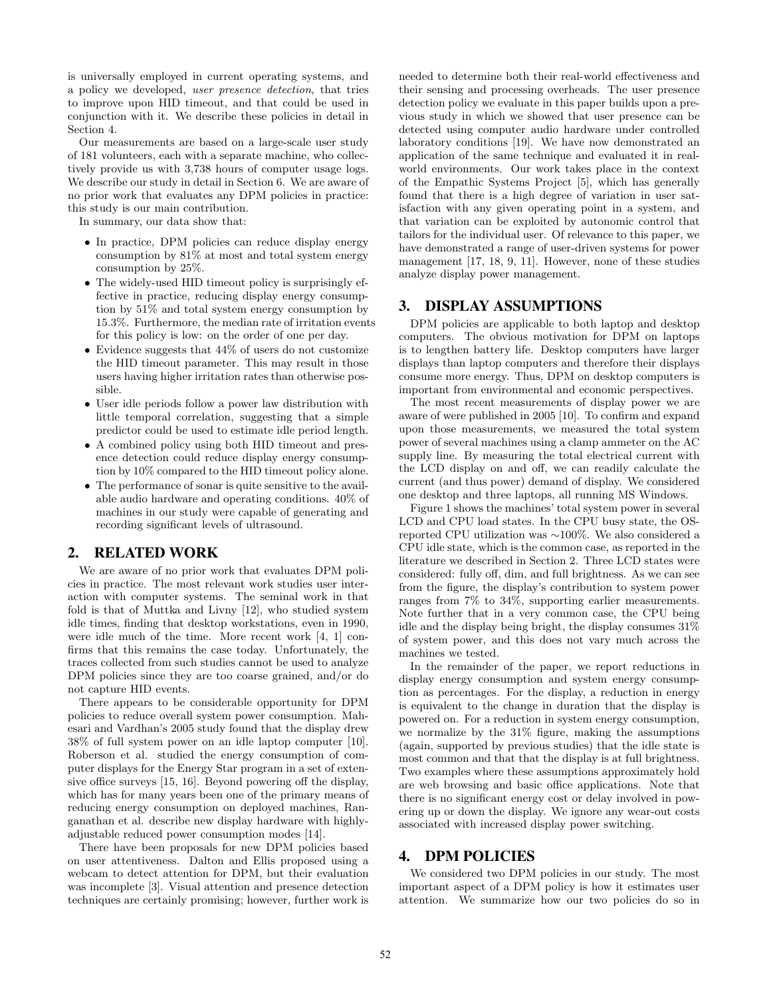is universally employed in current operating systems, and a policy we developed, user presence detection, that tries to improve upon HID timeout, and that could be used in conjunction with it. We describe these policies in detail in Section 4.

Our measurements are based on a large-scale user study of 181 volunteers, each with a separate machine, who collectively provide us with 3,738 hours of computer usage logs. We describe our study in detail in Section 6. We are aware of no prior work that evaluates any DPM policies in practice: this study is our main contribution.

In summary, our data show that:

- In practice, DPM policies can reduce display energy consumption by 81% at most and total system energy consumption by 25%.
- The widely-used HID timeout policy is surprisingly effective in practice, reducing display energy consumption by 51% and total system energy consumption by 15.3%. Furthermore, the median rate of irritation events for this policy is low: on the order of one per day.
- Evidence suggests that  $44\%$  of users do not customize the HID timeout parameter. This may result in those users having higher irritation rates than otherwise possible.
- User idle periods follow a power law distribution with little temporal correlation, suggesting that a simple predictor could be used to estimate idle period length.
- A combined policy using both HID timeout and presence detection could reduce display energy consumption by 10% compared to the HID timeout policy alone.
- The performance of sonar is quite sensitive to the available audio hardware and operating conditions. 40% of machines in our study were capable of generating and recording significant levels of ultrasound.

## 2. RELATED WORK

We are aware of no prior work that evaluates DPM policies in practice. The most relevant work studies user interaction with computer systems. The seminal work in that fold is that of Muttka and Livny [12], who studied system idle times, finding that desktop workstations, even in 1990, were idle much of the time. More recent work [4, 1] confirms that this remains the case today. Unfortunately, the traces collected from such studies cannot be used to analyze DPM policies since they are too coarse grained, and/or do not capture HID events.

There appears to be considerable opportunity for DPM policies to reduce overall system power consumption. Mahesari and Vardhan's 2005 study found that the display drew 38% of full system power on an idle laptop computer [10]. Roberson et al. studied the energy consumption of computer displays for the Energy Star program in a set of extensive office surveys [15, 16]. Beyond powering off the display, which has for many years been one of the primary means of reducing energy consumption on deployed machines, Ranganathan et al. describe new display hardware with highlyadjustable reduced power consumption modes [14].

There have been proposals for new DPM policies based on user attentiveness. Dalton and Ellis proposed using a webcam to detect attention for DPM, but their evaluation was incomplete [3]. Visual attention and presence detection techniques are certainly promising; however, further work is needed to determine both their real-world effectiveness and their sensing and processing overheads. The user presence detection policy we evaluate in this paper builds upon a previous study in which we showed that user presence can be detected using computer audio hardware under controlled laboratory conditions [19]. We have now demonstrated an application of the same technique and evaluated it in realworld environments. Our work takes place in the context of the Empathic Systems Project [5], which has generally found that there is a high degree of variation in user satisfaction with any given operating point in a system, and that variation can be exploited by autonomic control that tailors for the individual user. Of relevance to this paper, we have demonstrated a range of user-driven systems for power management [17, 18, 9, 11]. However, none of these studies analyze display power management.

## 3. DISPLAY ASSUMPTIONS

DPM policies are applicable to both laptop and desktop computers. The obvious motivation for DPM on laptops is to lengthen battery life. Desktop computers have larger displays than laptop computers and therefore their displays consume more energy. Thus, DPM on desktop computers is important from environmental and economic perspectives.

The most recent measurements of display power we are aware of were published in 2005 [10]. To confirm and expand upon those measurements, we measured the total system power of several machines using a clamp ammeter on the AC supply line. By measuring the total electrical current with the LCD display on and off, we can readily calculate the current (and thus power) demand of display. We considered one desktop and three laptops, all running MS Windows.

Figure 1 shows the machines' total system power in several LCD and CPU load states. In the CPU busy state, the OSreported CPU utilization was ∼100%. We also considered a CPU idle state, which is the common case, as reported in the literature we described in Section 2. Three LCD states were considered: fully off, dim, and full brightness. As we can see from the figure, the display's contribution to system power ranges from 7% to 34%, supporting earlier measurements. Note further that in a very common case, the CPU being idle and the display being bright, the display consumes 31% of system power, and this does not vary much across the machines we tested.

In the remainder of the paper, we report reductions in display energy consumption and system energy consumption as percentages. For the display, a reduction in energy is equivalent to the change in duration that the display is powered on. For a reduction in system energy consumption, we normalize by the 31% figure, making the assumptions (again, supported by previous studies) that the idle state is most common and that that the display is at full brightness. Two examples where these assumptions approximately hold are web browsing and basic office applications. Note that there is no significant energy cost or delay involved in powering up or down the display. We ignore any wear-out costs associated with increased display power switching.

## 4. DPM POLICIES

We considered two DPM policies in our study. The most important aspect of a DPM policy is how it estimates user attention. We summarize how our two policies do so in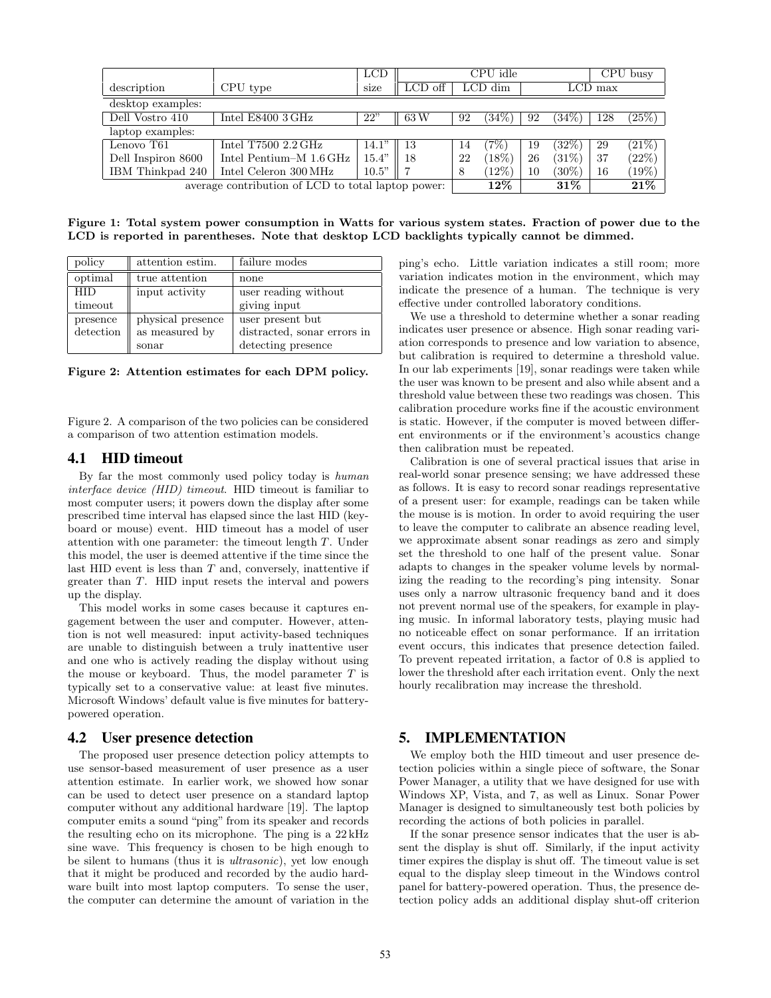|                                                    |                                   | LCD   | CPU idle |         |          | CPU busy  |                  |     |        |
|----------------------------------------------------|-----------------------------------|-------|----------|---------|----------|-----------|------------------|-----|--------|
| description                                        | CPU type                          | size  | LCD off  | LCD dim |          | $LCD$ max |                  |     |        |
| desktop examples:                                  |                                   |       |          |         |          |           |                  |     |        |
| Dell Vostro 410                                    | Intel $E8400$ 3 GHz               | 22"   | 63 W     | 92      | $(34\%)$ | 92        | $(34\%)$         | 128 | (25%)  |
| laptop examples:                                   |                                   |       |          |         |          |           |                  |     |        |
| Lenovo T61                                         | Intel T7500 $2.2 \text{ GHz}$     | 14.1" | 13       | 14      | 7%`      | 19        | $(32\%)$         | 29  | (21%)  |
| Dell Inspiron 8600                                 | Intel Pentium-M $1.6 \text{ GHz}$ | 15.4" | 18       | 22      | $(18\%)$ | 26        | $(31\%)$         | 37  | (22%)  |
| IBM Thinkpad 240                                   | Intel Celeron 300 MHz             | 10.5" |          | 8       | $(12\%)$ | 10        | $^{\prime}30\%)$ | 16  | 19%)   |
| average contribution of LCD to total laptop power: |                                   |       |          |         | $12\%$   |           | $31\%$           |     | $21\%$ |

Figure 1: Total system power consumption in Watts for various system states. Fraction of power due to the LCD is reported in parentheses. Note that desktop LCD backlights typically cannot be dimmed.

| policy     | attention estim.  | failure modes               |
|------------|-------------------|-----------------------------|
| optimal    | true attention    | none                        |
| <b>HID</b> | input activity    | user reading without        |
| timeout    |                   | giving input                |
| presence   | physical presence | user present but            |
| detection  | as measured by    | distracted, sonar errors in |
|            | sonar             | detecting presence          |

Figure 2: Attention estimates for each DPM policy.

Figure 2. A comparison of the two policies can be considered a comparison of two attention estimation models.

## 4.1 HID timeout

By far the most commonly used policy today is human interface device (HID) timeout. HID timeout is familiar to most computer users; it powers down the display after some prescribed time interval has elapsed since the last HID (keyboard or mouse) event. HID timeout has a model of user attention with one parameter: the timeout length T. Under this model, the user is deemed attentive if the time since the last HID event is less than  $T$  and, conversely, inattentive if greater than T. HID input resets the interval and powers up the display.

This model works in some cases because it captures engagement between the user and computer. However, attention is not well measured: input activity-based techniques are unable to distinguish between a truly inattentive user and one who is actively reading the display without using the mouse or keyboard. Thus, the model parameter  $T$  is typically set to a conservative value: at least five minutes. Microsoft Windows' default value is five minutes for batterypowered operation.

#### 4.2 User presence detection

The proposed user presence detection policy attempts to use sensor-based measurement of user presence as a user attention estimate. In earlier work, we showed how sonar can be used to detect user presence on a standard laptop computer without any additional hardware [19]. The laptop computer emits a sound "ping" from its speaker and records the resulting echo on its microphone. The ping is a 22 kHz sine wave. This frequency is chosen to be high enough to be silent to humans (thus it is ultrasonic), yet low enough that it might be produced and recorded by the audio hardware built into most laptop computers. To sense the user, the computer can determine the amount of variation in the

ping's echo. Little variation indicates a still room; more variation indicates motion in the environment, which may indicate the presence of a human. The technique is very effective under controlled laboratory conditions.

We use a threshold to determine whether a sonar reading indicates user presence or absence. High sonar reading variation corresponds to presence and low variation to absence, but calibration is required to determine a threshold value. In our lab experiments [19], sonar readings were taken while the user was known to be present and also while absent and a threshold value between these two readings was chosen. This calibration procedure works fine if the acoustic environment is static. However, if the computer is moved between different environments or if the environment's acoustics change then calibration must be repeated.

Calibration is one of several practical issues that arise in real-world sonar presence sensing; we have addressed these as follows. It is easy to record sonar readings representative of a present user: for example, readings can be taken while the mouse is is motion. In order to avoid requiring the user to leave the computer to calibrate an absence reading level, we approximate absent sonar readings as zero and simply set the threshold to one half of the present value. Sonar adapts to changes in the speaker volume levels by normalizing the reading to the recording's ping intensity. Sonar uses only a narrow ultrasonic frequency band and it does not prevent normal use of the speakers, for example in playing music. In informal laboratory tests, playing music had no noticeable effect on sonar performance. If an irritation event occurs, this indicates that presence detection failed. To prevent repeated irritation, a factor of 0.8 is applied to lower the threshold after each irritation event. Only the next hourly recalibration may increase the threshold.

## 5. IMPLEMENTATION

We employ both the HID timeout and user presence detection policies within a single piece of software, the Sonar Power Manager, a utility that we have designed for use with Windows XP, Vista, and 7, as well as Linux. Sonar Power Manager is designed to simultaneously test both policies by recording the actions of both policies in parallel.

If the sonar presence sensor indicates that the user is absent the display is shut off. Similarly, if the input activity timer expires the display is shut off. The timeout value is set equal to the display sleep timeout in the Windows control panel for battery-powered operation. Thus, the presence detection policy adds an additional display shut-off criterion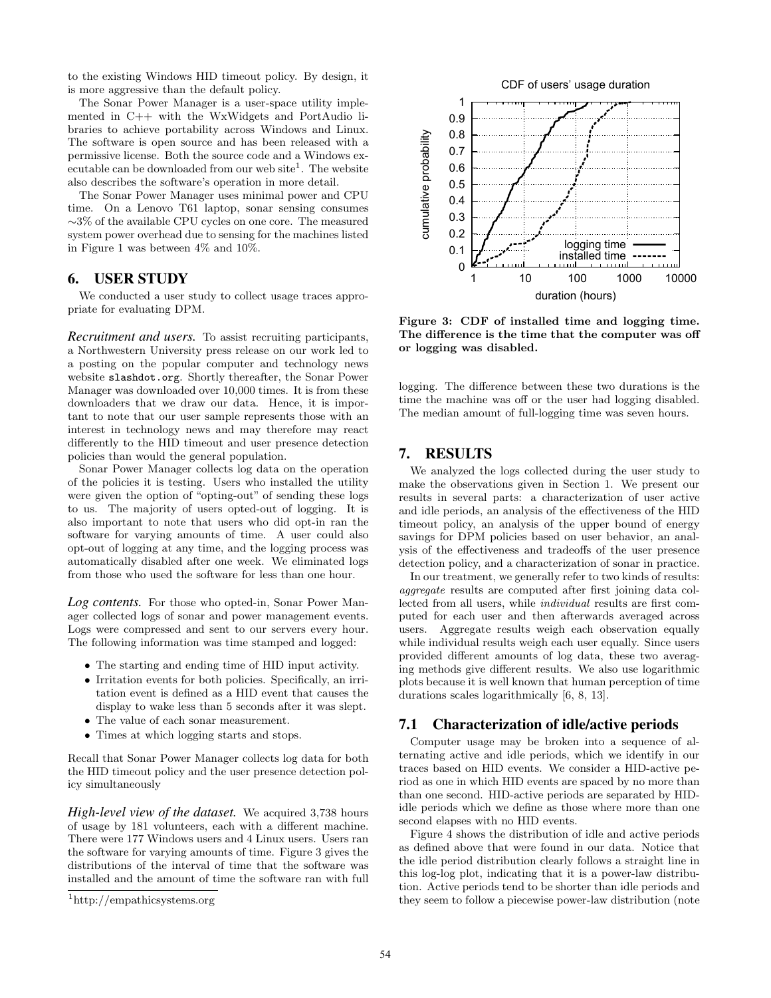to the existing Windows HID timeout policy. By design, it is more aggressive than the default policy.

The Sonar Power Manager is a user-space utility implemented in C++ with the WxWidgets and PortAudio libraries to achieve portability across Windows and Linux. The software is open source and has been released with a permissive license. Both the source code and a Windows executable can be downloaded from our web site<sup>1</sup>. The website also describes the software's operation in more detail.

The Sonar Power Manager uses minimal power and CPU time. On a Lenovo T61 laptop, sonar sensing consumes ∼3% of the available CPU cycles on one core. The measured system power overhead due to sensing for the machines listed in Figure 1 was between 4% and 10%.

## 6. USER STUDY

We conducted a user study to collect usage traces appropriate for evaluating DPM.

*Recruitment and users.* To assist recruiting participants, a Northwestern University press release on our work led to a posting on the popular computer and technology news website slashdot.org. Shortly thereafter, the Sonar Power Manager was downloaded over 10,000 times. It is from these downloaders that we draw our data. Hence, it is important to note that our user sample represents those with an interest in technology news and may therefore may react differently to the HID timeout and user presence detection policies than would the general population.

Sonar Power Manager collects log data on the operation of the policies it is testing. Users who installed the utility were given the option of "opting-out" of sending these logs to us. The majority of users opted-out of logging. It is also important to note that users who did opt-in ran the software for varying amounts of time. A user could also opt-out of logging at any time, and the logging process was automatically disabled after one week. We eliminated logs from those who used the software for less than one hour.

*Log contents.* For those who opted-in, Sonar Power Manager collected logs of sonar and power management events. Logs were compressed and sent to our servers every hour. The following information was time stamped and logged:

- The starting and ending time of HID input activity.
- Irritation events for both policies. Specifically, an irritation event is defined as a HID event that causes the display to wake less than 5 seconds after it was slept.
- The value of each sonar measurement.
- Times at which logging starts and stops.

Recall that Sonar Power Manager collects log data for both the HID timeout policy and the user presence detection policy simultaneously

*High-level view of the dataset.* We acquired 3,738 hours of usage by 181 volunteers, each with a different machine. There were 177 Windows users and 4 Linux users. Users ran the software for varying amounts of time. Figure 3 gives the distributions of the interval of time that the software was installed and the amount of time the software ran with full



Figure 3: CDF of installed time and logging time. The difference is the time that the computer was off or logging was disabled.

logging. The difference between these two durations is the time the machine was off or the user had logging disabled. The median amount of full-logging time was seven hours.

## 7. RESULTS

We analyzed the logs collected during the user study to make the observations given in Section 1. We present our results in several parts: a characterization of user active and idle periods, an analysis of the effectiveness of the HID timeout policy, an analysis of the upper bound of energy savings for DPM policies based on user behavior, an analysis of the effectiveness and tradeoffs of the user presence detection policy, and a characterization of sonar in practice.

In our treatment, we generally refer to two kinds of results: aggregate results are computed after first joining data collected from all users, while individual results are first computed for each user and then afterwards averaged across users. Aggregate results weigh each observation equally while individual results weigh each user equally. Since users provided different amounts of log data, these two averaging methods give different results. We also use logarithmic plots because it is well known that human perception of time durations scales logarithmically [6, 8, 13].

#### 7.1 Characterization of idle/active periods

Computer usage may be broken into a sequence of alternating active and idle periods, which we identify in our traces based on HID events. We consider a HID-active period as one in which HID events are spaced by no more than than one second. HID-active periods are separated by HIDidle periods which we define as those where more than one second elapses with no HID events.

Figure 4 shows the distribution of idle and active periods as defined above that were found in our data. Notice that the idle period distribution clearly follows a straight line in this log-log plot, indicating that it is a power-law distribution. Active periods tend to be shorter than idle periods and they seem to follow a piecewise power-law distribution (note

<sup>1</sup>http://empathicsystems.org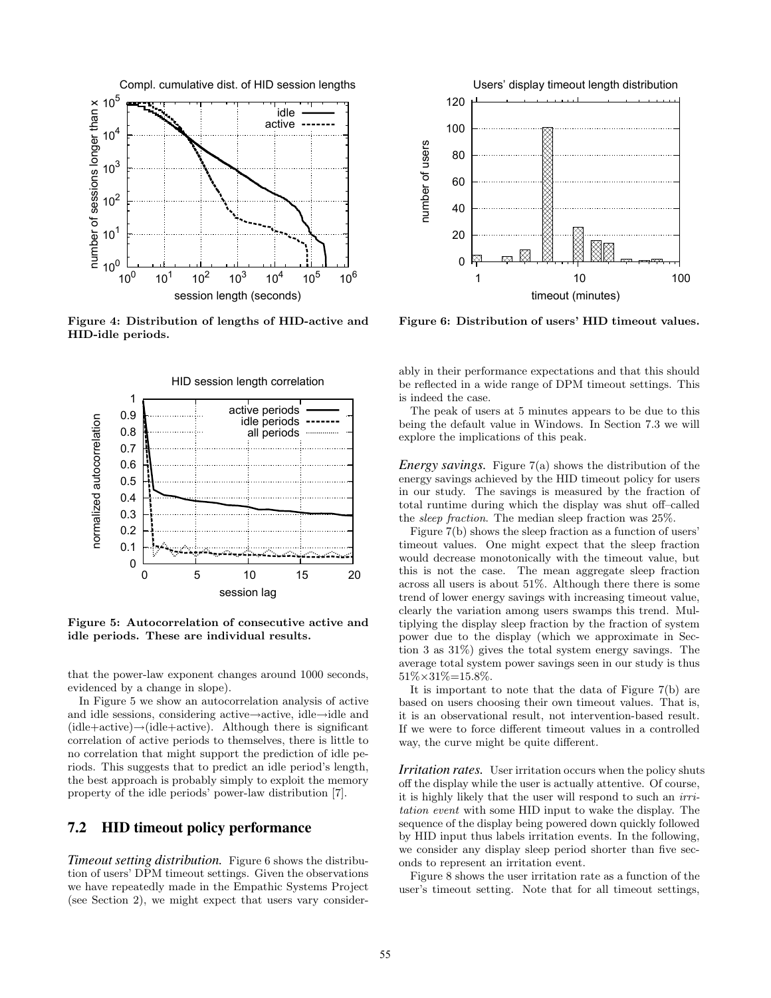

Figure 4: Distribution of lengths of HID-active and HID-idle periods.



Figure 5: Autocorrelation of consecutive active and idle periods. These are individual results.

that the power-law exponent changes around 1000 seconds, evidenced by a change in slope).

In Figure 5 we show an autocorrelation analysis of active and idle sessions, considering active→active, idle→idle and  $(idle+active) \rightarrow (idle+active)$ . Although there is significant correlation of active periods to themselves, there is little to no correlation that might support the prediction of idle periods. This suggests that to predict an idle period's length, the best approach is probably simply to exploit the memory property of the idle periods' power-law distribution [7].

# 7.2 HID timeout policy performance

*Timeout setting distribution.* Figure 6 shows the distribution of users' DPM timeout settings. Given the observations we have repeatedly made in the Empathic Systems Project (see Section 2), we might expect that users vary consider-



Figure 6: Distribution of users' HID timeout values.

ably in their performance expectations and that this should be reflected in a wide range of DPM timeout settings. This is indeed the case.

The peak of users at 5 minutes appears to be due to this being the default value in Windows. In Section 7.3 we will explore the implications of this peak.

*Energy savings.* Figure 7(a) shows the distribution of the energy savings achieved by the HID timeout policy for users in our study. The savings is measured by the fraction of total runtime during which the display was shut off–called the sleep fraction. The median sleep fraction was 25%.

Figure 7(b) shows the sleep fraction as a function of users' timeout values. One might expect that the sleep fraction would decrease monotonically with the timeout value, but this is not the case. The mean aggregate sleep fraction across all users is about 51%. Although there there is some trend of lower energy savings with increasing timeout value, clearly the variation among users swamps this trend. Multiplying the display sleep fraction by the fraction of system power due to the display (which we approximate in Section 3 as 31%) gives the total system energy savings. The average total system power savings seen in our study is thus  $51\% {\times} 31\% {=} 15.8\%.$ 

It is important to note that the data of Figure 7(b) are based on users choosing their own timeout values. That is, it is an observational result, not intervention-based result. If we were to force different timeout values in a controlled way, the curve might be quite different.

*Irritation rates.* User irritation occurs when the policy shuts off the display while the user is actually attentive. Of course, it is highly likely that the user will respond to such an irritation event with some HID input to wake the display. The sequence of the display being powered down quickly followed by HID input thus labels irritation events. In the following, we consider any display sleep period shorter than five seconds to represent an irritation event.

Figure 8 shows the user irritation rate as a function of the user's timeout setting. Note that for all timeout settings,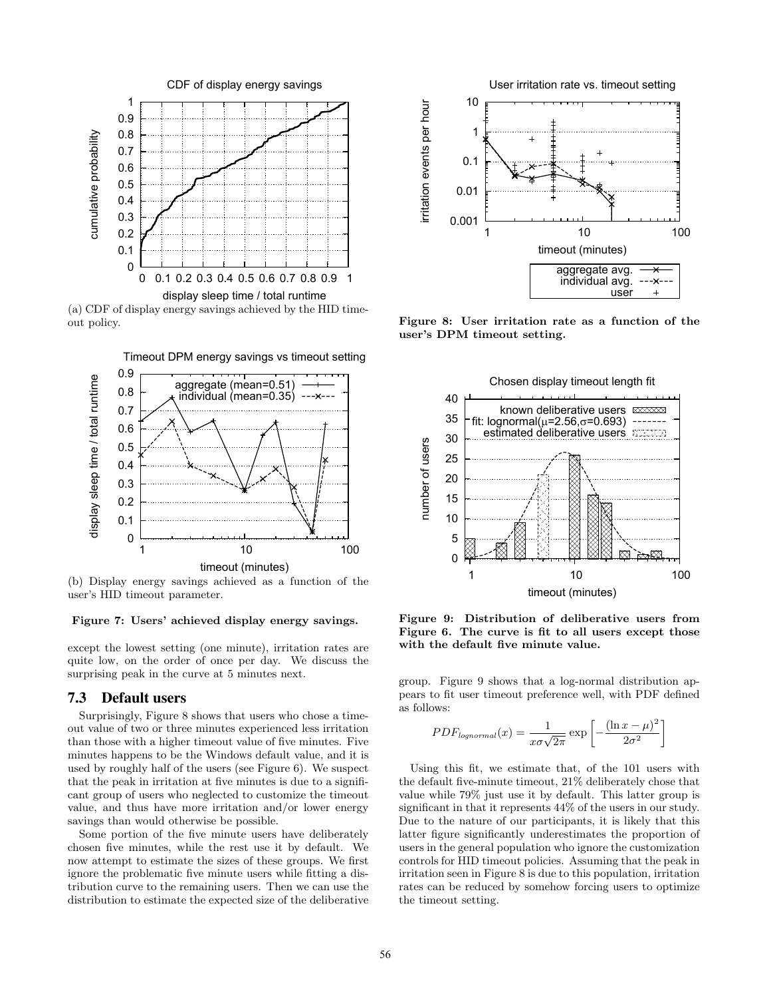

(a) CDF of display energy savings achieved by the HID timeout policy.



(b) Display energy savings achieved as a function of the user's HID timeout parameter.

## Figure 7: Users' achieved display energy savings.

except the lowest setting (one minute), irritation rates are quite low, on the order of once per day. We discuss the surprising peak in the curve at 5 minutes next.

## 7.3 Default users

Surprisingly, Figure 8 shows that users who chose a timeout value of two or three minutes experienced less irritation than those with a higher timeout value of five minutes. Five minutes happens to be the Windows default value, and it is used by roughly half of the users (see Figure 6). We suspect that the peak in irritation at five minutes is due to a significant group of users who neglected to customize the timeout value, and thus have more irritation and/or lower energy savings than would otherwise be possible.

Some portion of the five minute users have deliberately chosen five minutes, while the rest use it by default. We now attempt to estimate the sizes of these groups. We first ignore the problematic five minute users while fitting a distribution curve to the remaining users. Then we can use the distribution to estimate the expected size of the deliberative

User irritation rate vs. timeout setting



Figure 8: User irritation rate as a function of the user's DPM timeout setting.



Figure 9: Distribution of deliberative users from Figure 6. The curve is fit to all users except those with the default five minute value.

group. Figure 9 shows that a log-normal distribution appears to fit user timeout preference well, with PDF defined as follows:

$$
PDF_{lognormal}(x) = \frac{1}{x\sigma\sqrt{2\pi}} \exp\left[-\frac{(\ln x - \mu)^2}{2\sigma^2}\right]
$$

Using this fit, we estimate that, of the 101 users with the default five-minute timeout, 21% deliberately chose that value while 79% just use it by default. This latter group is significant in that it represents 44% of the users in our study. Due to the nature of our participants, it is likely that this latter figure significantly underestimates the proportion of users in the general population who ignore the customization controls for HID timeout policies. Assuming that the peak in irritation seen in Figure 8 is due to this population, irritation rates can be reduced by somehow forcing users to optimize the timeout setting.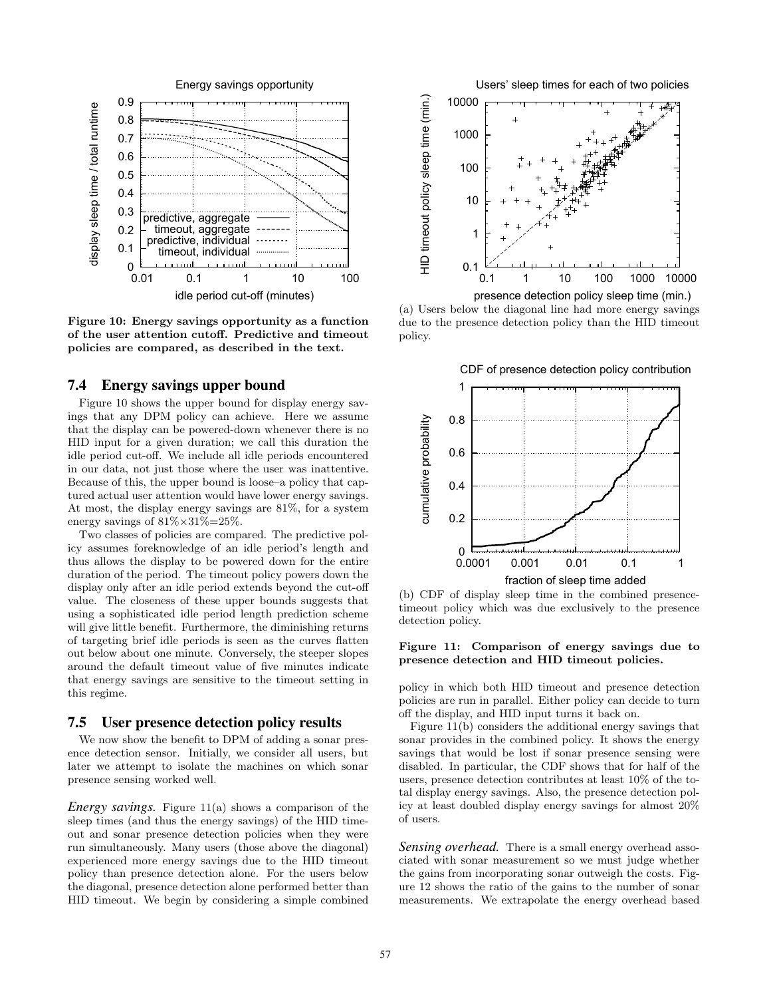

Figure 10: Energy savings opportunity as a function of the user attention cutoff. Predictive and timeout policies are compared, as described in the text.

## 7.4 Energy savings upper bound

Figure 10 shows the upper bound for display energy savings that any DPM policy can achieve. Here we assume that the display can be powered-down whenever there is no HID input for a given duration; we call this duration the idle period cut-off. We include all idle periods encountered in our data, not just those where the user was inattentive. Because of this, the upper bound is loose–a policy that captured actual user attention would have lower energy savings. At most, the display energy savings are 81%, for a system energy savings of  $81\% \times 31\% = 25\%$ .

Two classes of policies are compared. The predictive policy assumes foreknowledge of an idle period's length and thus allows the display to be powered down for the entire duration of the period. The timeout policy powers down the display only after an idle period extends beyond the cut-off value. The closeness of these upper bounds suggests that using a sophisticated idle period length prediction scheme will give little benefit. Furthermore, the diminishing returns of targeting brief idle periods is seen as the curves flatten out below about one minute. Conversely, the steeper slopes around the default timeout value of five minutes indicate that energy savings are sensitive to the timeout setting in this regime.

## 7.5 User presence detection policy results

We now show the benefit to DPM of adding a sonar presence detection sensor. Initially, we consider all users, but later we attempt to isolate the machines on which sonar presence sensing worked well.

*Energy savings.* Figure 11(a) shows a comparison of the sleep times (and thus the energy savings) of the HID timeout and sonar presence detection policies when they were run simultaneously. Many users (those above the diagonal) experienced more energy savings due to the HID timeout policy than presence detection alone. For the users below the diagonal, presence detection alone performed better than HID timeout. We begin by considering a simple combined

Users' sleep times for each of two policies



(a) Users below the diagonal line had more energy savings due to the presence detection policy than the HID timeout policy.

CDF of presence detection policy contribution



(b) CDF of display sleep time in the combined presencetimeout policy which was due exclusively to the presence detection policy.

#### Figure 11: Comparison of energy savings due to presence detection and HID timeout policies.

policy in which both HID timeout and presence detection policies are run in parallel. Either policy can decide to turn off the display, and HID input turns it back on.

Figure 11(b) considers the additional energy savings that sonar provides in the combined policy. It shows the energy savings that would be lost if sonar presence sensing were disabled. In particular, the CDF shows that for half of the users, presence detection contributes at least 10% of the total display energy savings. Also, the presence detection policy at least doubled display energy savings for almost 20% of users.

*Sensing overhead.* There is a small energy overhead associated with sonar measurement so we must judge whether the gains from incorporating sonar outweigh the costs. Figure 12 shows the ratio of the gains to the number of sonar measurements. We extrapolate the energy overhead based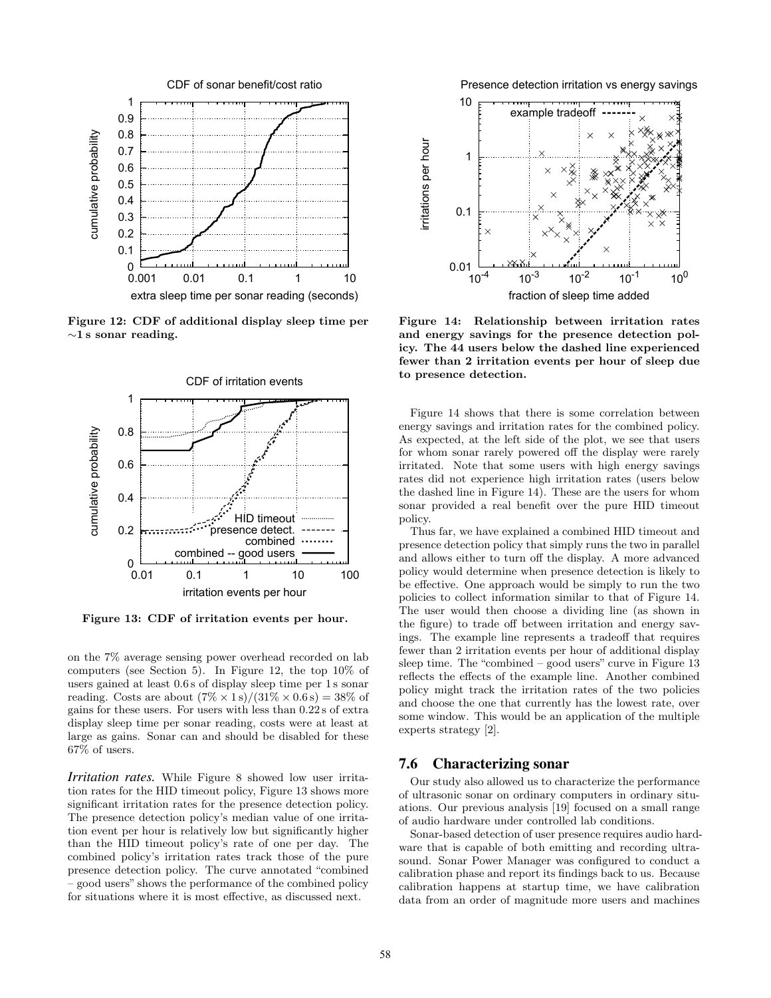

Figure 12: CDF of additional display sleep time per  $\sim$ 1 s sonar reading.



Figure 13: CDF of irritation events per hour.

on the 7% average sensing power overhead recorded on lab computers (see Section 5). In Figure 12, the top 10% of users gained at least 0.6 s of display sleep time per 1 s sonar reading. Costs are about  $(7\% \times 1\text{ s})/(31\% \times 0.6\text{ s}) = 38\%$  of gains for these users. For users with less than 0.22 s of extra display sleep time per sonar reading, costs were at least at large as gains. Sonar can and should be disabled for these 67% of users.

*Irritation rates.* While Figure 8 showed low user irritation rates for the HID timeout policy, Figure 13 shows more significant irritation rates for the presence detection policy. The presence detection policy's median value of one irritation event per hour is relatively low but significantly higher than the HID timeout policy's rate of one per day. The combined policy's irritation rates track those of the pure presence detection policy. The curve annotated "combined – good users" shows the performance of the combined policy for situations where it is most effective, as discussed next.

Presence detection irritation vs energy savings



Figure 14: Relationship between irritation rates and energy savings for the presence detection policy. The 44 users below the dashed line experienced fewer than 2 irritation events per hour of sleep due to presence detection.

Figure 14 shows that there is some correlation between energy savings and irritation rates for the combined policy. As expected, at the left side of the plot, we see that users for whom sonar rarely powered off the display were rarely irritated. Note that some users with high energy savings rates did not experience high irritation rates (users below the dashed line in Figure 14). These are the users for whom sonar provided a real benefit over the pure HID timeout policy.

Thus far, we have explained a combined HID timeout and presence detection policy that simply runs the two in parallel and allows either to turn off the display. A more advanced policy would determine when presence detection is likely to be effective. One approach would be simply to run the two policies to collect information similar to that of Figure 14. The user would then choose a dividing line (as shown in the figure) to trade off between irritation and energy savings. The example line represents a tradeoff that requires fewer than 2 irritation events per hour of additional display sleep time. The "combined – good users" curve in Figure 13 reflects the effects of the example line. Another combined policy might track the irritation rates of the two policies and choose the one that currently has the lowest rate, over some window. This would be an application of the multiple experts strategy [2].

### 7.6 Characterizing sonar

Our study also allowed us to characterize the performance of ultrasonic sonar on ordinary computers in ordinary situations. Our previous analysis [19] focused on a small range of audio hardware under controlled lab conditions.

Sonar-based detection of user presence requires audio hardware that is capable of both emitting and recording ultrasound. Sonar Power Manager was configured to conduct a calibration phase and report its findings back to us. Because calibration happens at startup time, we have calibration data from an order of magnitude more users and machines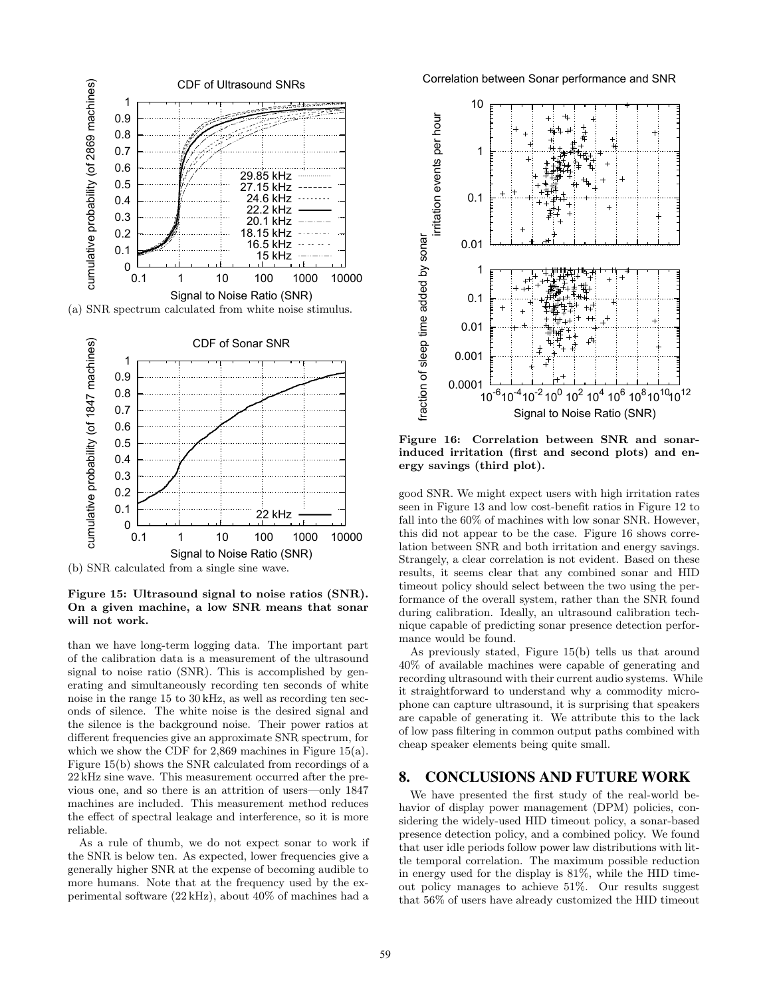

(b) SNR calculated from a single sine wave.

#### Figure 15: Ultrasound signal to noise ratios (SNR). On a given machine, a low SNR means that sonar will not work.

than we have long-term logging data. The important part of the calibration data is a measurement of the ultrasound signal to noise ratio (SNR). This is accomplished by generating and simultaneously recording ten seconds of white noise in the range 15 to 30 kHz, as well as recording ten seconds of silence. The white noise is the desired signal and the silence is the background noise. Their power ratios at different frequencies give an approximate SNR spectrum, for which we show the CDF for 2,869 machines in Figure 15(a). Figure 15(b) shows the SNR calculated from recordings of a 22 kHz sine wave. This measurement occurred after the previous one, and so there is an attrition of users—only 1847 machines are included. This measurement method reduces the effect of spectral leakage and interference, so it is more reliable.

As a rule of thumb, we do not expect sonar to work if the SNR is below ten. As expected, lower frequencies give a generally higher SNR at the expense of becoming audible to more humans. Note that at the frequency used by the experimental software (22 kHz), about 40% of machines had a Correlation between Sonar performance and SNR



Figure 16: Correlation between SNR and sonarinduced irritation (first and second plots) and energy savings (third plot).

good SNR. We might expect users with high irritation rates seen in Figure 13 and low cost-benefit ratios in Figure 12 to fall into the 60% of machines with low sonar SNR. However, this did not appear to be the case. Figure 16 shows correlation between SNR and both irritation and energy savings. Strangely, a clear correlation is not evident. Based on these results, it seems clear that any combined sonar and HID timeout policy should select between the two using the performance of the overall system, rather than the SNR found during calibration. Ideally, an ultrasound calibration technique capable of predicting sonar presence detection performance would be found.

As previously stated, Figure 15(b) tells us that around 40% of available machines were capable of generating and recording ultrasound with their current audio systems. While it straightforward to understand why a commodity microphone can capture ultrasound, it is surprising that speakers are capable of generating it. We attribute this to the lack of low pass filtering in common output paths combined with cheap speaker elements being quite small.

## 8. CONCLUSIONS AND FUTURE WORK

We have presented the first study of the real-world behavior of display power management (DPM) policies, considering the widely-used HID timeout policy, a sonar-based presence detection policy, and a combined policy. We found that user idle periods follow power law distributions with little temporal correlation. The maximum possible reduction in energy used for the display is 81%, while the HID timeout policy manages to achieve 51%. Our results suggest that 56% of users have already customized the HID timeout